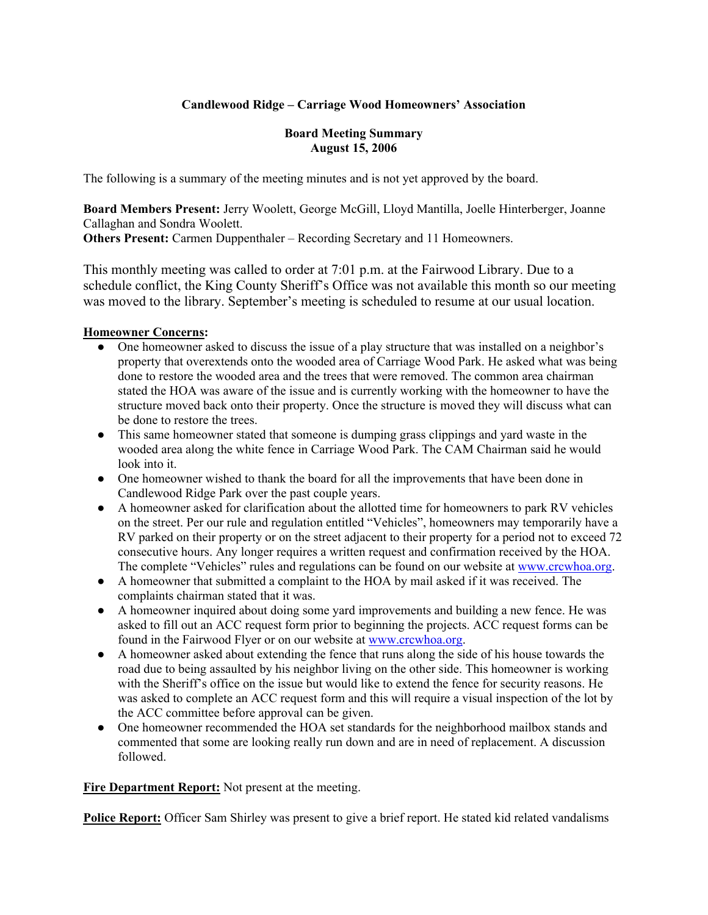# **Candlewood Ridge – Carriage Wood Homeowners' Association**

#### **Board Meeting Summary August 15, 2006**

The following is a summary of the meeting minutes and is not yet approved by the board.

**Board Members Present:** Jerry Woolett, George McGill, Lloyd Mantilla, Joelle Hinterberger, Joanne Callaghan and Sondra Woolett.

**Others Present:** Carmen Duppenthaler – Recording Secretary and 11 Homeowners.

This monthly meeting was called to order at 7:01 p.m. at the Fairwood Library. Due to a schedule conflict, the King County Sheriff's Office was not available this month so our meeting was moved to the library. September's meeting is scheduled to resume at our usual location.

#### **Homeowner Concerns:**

- One homeowner asked to discuss the issue of a play structure that was installed on a neighbor's property that overextends onto the wooded area of Carriage Wood Park. He asked what was being done to restore the wooded area and the trees that were removed. The common area chairman stated the HOA was aware of the issue and is currently working with the homeowner to have the structure moved back onto their property. Once the structure is moved they will discuss what can be done to restore the trees.
- This same homeowner stated that someone is dumping grass clippings and yard waste in the wooded area along the white fence in Carriage Wood Park. The CAM Chairman said he would look into it.
- One homeowner wished to thank the board for all the improvements that have been done in Candlewood Ridge Park over the past couple years.
- A homeowner asked for clarification about the allotted time for homeowners to park RV vehicles on the street. Per our rule and regulation entitled "Vehicles", homeowners may temporarily have a RV parked on their property or on the street adjacent to their property for a period not to exceed 72 consecutive hours. Any longer requires a written request and confirmation received by the HOA. The complete "Vehicles" rules and regulations can be found on our website at www.crcwhoa.org.
- A homeowner that submitted a complaint to the HOA by mail asked if it was received. The complaints chairman stated that it was.
- A homeowner inquired about doing some yard improvements and building a new fence. He was asked to fill out an ACC request form prior to beginning the projects. ACC request forms can be found in the Fairwood Flyer or on our website at www.crcwhoa.org.
- A homeowner asked about extending the fence that runs along the side of his house towards the road due to being assaulted by his neighbor living on the other side. This homeowner is working with the Sheriff's office on the issue but would like to extend the fence for security reasons. He was asked to complete an ACC request form and this will require a visual inspection of the lot by the ACC committee before approval can be given.
- One homeowner recommended the HOA set standards for the neighborhood mailbox stands and commented that some are looking really run down and are in need of replacement. A discussion followed.

**Fire Department Report:** Not present at the meeting.

**Police Report:** Officer Sam Shirley was present to give a brief report. He stated kid related vandalisms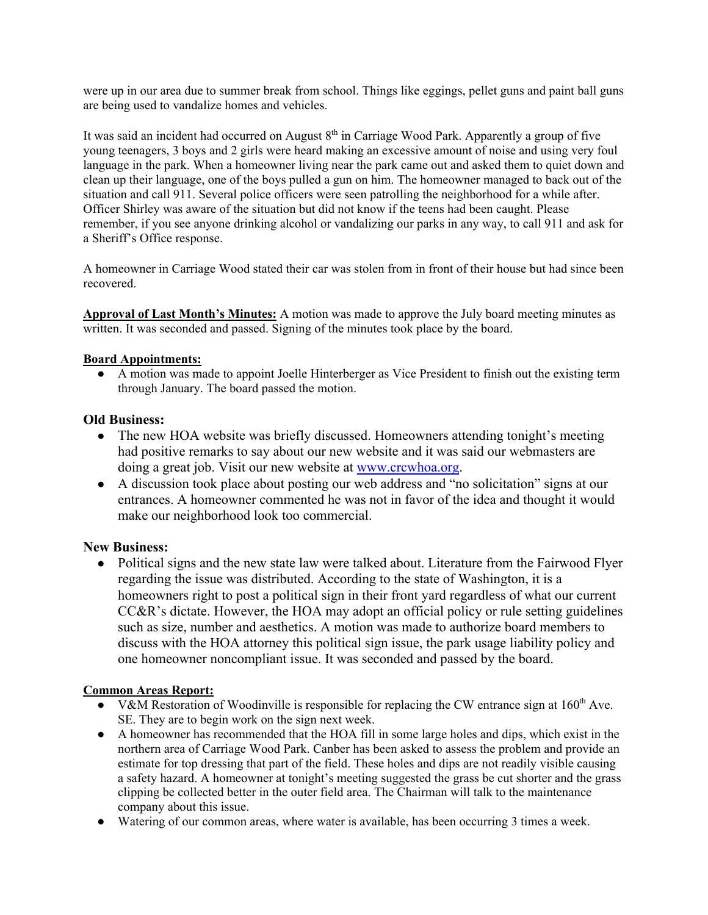were up in our area due to summer break from school. Things like eggings, pellet guns and paint ball guns are being used to vandalize homes and vehicles.

It was said an incident had occurred on August  $8<sup>th</sup>$  in Carriage Wood Park. Apparently a group of five young teenagers, 3 boys and 2 girls were heard making an excessive amount of noise and using very foul language in the park. When a homeowner living near the park came out and asked them to quiet down and clean up their language, one of the boys pulled a gun on him. The homeowner managed to back out of the situation and call 911. Several police officers were seen patrolling the neighborhood for a while after. Officer Shirley was aware of the situation but did not know if the teens had been caught. Please remember, if you see anyone drinking alcohol or vandalizing our parks in any way, to call 911 and ask for a Sheriff's Office response.

A homeowner in Carriage Wood stated their car was stolen from in front of their house but had since been recovered.

**Approval of Last Month's Minutes:** A motion was made to approve the July board meeting minutes as written. It was seconded and passed. Signing of the minutes took place by the board.

#### **Board Appointments:**

● A motion was made to appoint Joelle Hinterberger as Vice President to finish out the existing term through January. The board passed the motion.

#### **Old Business:**

- The new HOA website was briefly discussed. Homeowners attending tonight's meeting had positive remarks to say about our new website and it was said our webmasters are doing a great job. Visit our new website at www.crcwhoa.org.
- A discussion took place about posting our web address and "no solicitation" signs at our entrances. A homeowner commented he was not in favor of the idea and thought it would make our neighborhood look too commercial.

# **New Business:**

• Political signs and the new state law were talked about. Literature from the Fairwood Flyer regarding the issue was distributed. According to the state of Washington, it is a homeowners right to post a political sign in their front yard regardless of what our current CC&R's dictate. However, the HOA may adopt an official policy or rule setting guidelines such as size, number and aesthetics. A motion was made to authorize board members to discuss with the HOA attorney this political sign issue, the park usage liability policy and one homeowner noncompliant issue. It was seconded and passed by the board.

# **Common Areas Report:**

- V&M Restoration of Woodinville is responsible for replacing the CW entrance sign at 160<sup>th</sup> Ave. SE. They are to begin work on the sign next week.
- A homeowner has recommended that the HOA fill in some large holes and dips, which exist in the northern area of Carriage Wood Park. Canber has been asked to assess the problem and provide an estimate for top dressing that part of the field. These holes and dips are not readily visible causing a safety hazard. A homeowner at tonight's meeting suggested the grass be cut shorter and the grass clipping be collected better in the outer field area. The Chairman will talk to the maintenance company about this issue.
- Watering of our common areas, where water is available, has been occurring 3 times a week.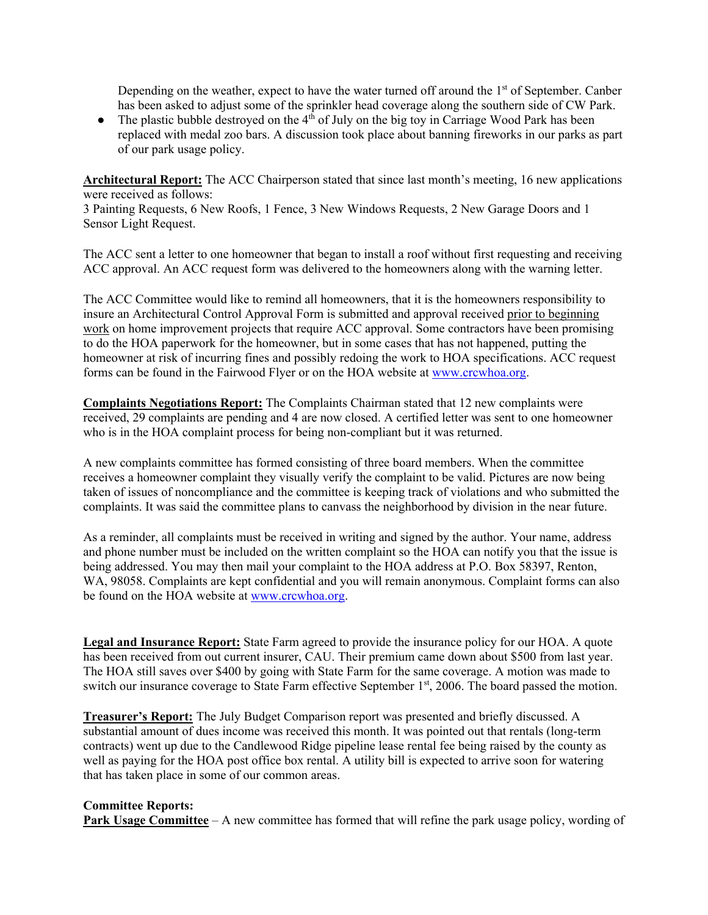Depending on the weather, expect to have the water turned off around the  $1<sup>st</sup>$  of September. Canber has been asked to adjust some of the sprinkler head coverage along the southern side of CW Park.

• The plastic bubble destroyed on the  $4<sup>th</sup>$  of July on the big toy in Carriage Wood Park has been replaced with medal zoo bars. A discussion took place about banning fireworks in our parks as part of our park usage policy.

**Architectural Report:** The ACC Chairperson stated that since last month's meeting, 16 new applications were received as follows:

3 Painting Requests, 6 New Roofs, 1 Fence, 3 New Windows Requests, 2 New Garage Doors and 1 Sensor Light Request.

The ACC sent a letter to one homeowner that began to install a roof without first requesting and receiving ACC approval. An ACC request form was delivered to the homeowners along with the warning letter.

The ACC Committee would like to remind all homeowners, that it is the homeowners responsibility to insure an Architectural Control Approval Form is submitted and approval received prior to beginning work on home improvement projects that require ACC approval. Some contractors have been promising to do the HOA paperwork for the homeowner, but in some cases that has not happened, putting the homeowner at risk of incurring fines and possibly redoing the work to HOA specifications. ACC request forms can be found in the Fairwood Flyer or on the HOA website at www.crcwhoa.org.

**Complaints Negotiations Report:** The Complaints Chairman stated that 12 new complaints were received, 29 complaints are pending and 4 are now closed. A certified letter was sent to one homeowner who is in the HOA complaint process for being non-compliant but it was returned.

A new complaints committee has formed consisting of three board members. When the committee receives a homeowner complaint they visually verify the complaint to be valid. Pictures are now being taken of issues of noncompliance and the committee is keeping track of violations and who submitted the complaints. It was said the committee plans to canvass the neighborhood by division in the near future.

As a reminder, all complaints must be received in writing and signed by the author. Your name, address and phone number must be included on the written complaint so the HOA can notify you that the issue is being addressed. You may then mail your complaint to the HOA address at P.O. Box 58397, Renton, WA, 98058. Complaints are kept confidential and you will remain anonymous. Complaint forms can also be found on the HOA website at www.crcwhoa.org.

**Legal and Insurance Report:** State Farm agreed to provide the insurance policy for our HOA. A quote has been received from out current insurer, CAU. Their premium came down about \$500 from last year. The HOA still saves over \$400 by going with State Farm for the same coverage. A motion was made to switch our insurance coverage to State Farm effective September 1<sup>st</sup>, 2006. The board passed the motion.

**Treasurer's Report:** The July Budget Comparison report was presented and briefly discussed. A substantial amount of dues income was received this month. It was pointed out that rentals (long-term contracts) went up due to the Candlewood Ridge pipeline lease rental fee being raised by the county as well as paying for the HOA post office box rental. A utility bill is expected to arrive soon for watering that has taken place in some of our common areas.

#### **Committee Reports:**

**Park Usage Committee** – A new committee has formed that will refine the park usage policy, wording of